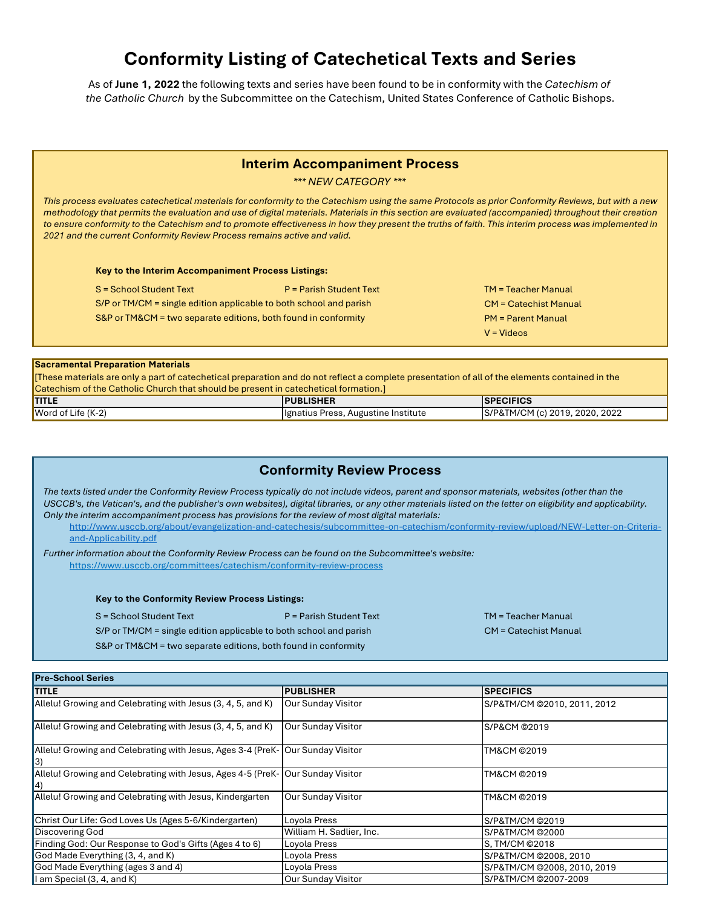# **Conformity Listing of Catechetical Texts and Series**

As of **June 1, 2022** the following texts and series have been found to be in conformity with the *Catechism of the Catholic Church* by the Subcommittee on the Catechism, United States Conference of Catholic Bishops.

## **Interim Accompaniment Process**

*\*\*\* NEW CATEGORY \*\*\**

*This process evaluates catechetical materials for conformity to the Catechism using the same Protocols as prior Conformity Reviews, but with a new methodology that permits the evaluation and use of digital materials. Materials in this section are evaluated (accompanied) throughout their creation*  to ensure conformity to the Catechism and to promote effectiveness in how they present the truths of faith. This interim process was implemented in *2021 and the current Conformity Review Process remains active and valid.*

**Key to the Interim Accompaniment Process Listings:**

 $S =$  School Student Text P = Parish Student Text TM = Teacher Manual

S/P or TM/CM = single edition applicable to both school and parish

S&P or TM&CM = two separate editions, both found in conformity

# CM = Catechist Manual PM = Parent Manual

V = Videos

#### **Sacramental Preparation Materials**

[These materials are only a part of catechetical preparation and do not reflect a complete presentation of all of the elements contained in the Catechism of the Catholic Church that should be present in catechetical formation.]

| <b>TITLE</b>                           | <b>PUBLISHER</b>                    | <b>SPECIFICS</b>                                |
|----------------------------------------|-------------------------------------|-------------------------------------------------|
| <b>Word of Life <math>(K-2)</math></b> | Henatius Press, Augustine Institute | &TM/CM (c) 2019, 2020, 2022<br><b>S/P&amp;T</b> |

# **Conformity Review Process**

*The texts listed under the Conformity Review Process typically do not include videos, parent and sponsor materials, websites (other than the USCCB's, the Vatican's, and the publisher's own websites), digital libraries, or any other materials listed on the letter on eligibility and applicability. Only the interim accompaniment process has provisions for the review of most digital materials:*

http://www.usccb.org/about/evangelization-and-catechesis/subcommittee-on-catechism/conformity-review/upload/NEW-Letter-on-Criteriaand-Applicability.pdf

*Further information about the Conformity Review Process can be found on the Subcommittee's website:* https://www.usccb.org/committees/catechism/conformity-review-process

**Key to the Conformity Review Process Listings:**

S = School Student Text P = Parish Student Text TM = Teacher Manual

CM = Catechist Manual

S/P or TM/CM = single edition applicable to both school and parish S&P or TM&CM = two separate editions, both found in conformity

| <b>Pre-School Series</b>                                                                |                           |                             |  |
|-----------------------------------------------------------------------------------------|---------------------------|-----------------------------|--|
| <b>TITLE</b>                                                                            | <b>PUBLISHER</b>          | <b>SPECIFICS</b>            |  |
| Allelu! Growing and Celebrating with Jesus (3, 4, 5, and K)                             | <b>Our Sunday Visitor</b> | S/P&TM/CM @2010, 2011, 2012 |  |
| Allelu! Growing and Celebrating with Jesus (3, 4, 5, and K)                             | <b>Our Sunday Visitor</b> | S/P&CM @2019                |  |
| Allelu! Growing and Celebrating with Jesus, Ages 3-4 (PreK-   Our Sunday Visitor<br> 3) |                           | TM&CM ©2019                 |  |
| Allelu! Growing and Celebrating with Jesus, Ages 4-5 (PreK- Our Sunday Visitor<br>14)   |                           | TM&CM ©2019                 |  |
| Allelu! Growing and Celebrating with Jesus, Kindergarten                                | <b>Our Sunday Visitor</b> | TM&CM ©2019                 |  |
| Christ Our Life: God Loves Us (Ages 5-6/Kindergarten)                                   | Loyola Press              | S/P&TM/CM @2019             |  |
| <b>Discovering God</b>                                                                  | William H. Sadlier, Inc.  | S/P&TM/CM ©2000             |  |
| Finding God: Our Response to God's Gifts (Ages 4 to 6)                                  | Loyola Press              | S, TM/CM ©2018              |  |
| God Made Everything (3, 4, and K)                                                       | Loyola Press              | S/P&TM/CM @2008, 2010       |  |
| God Made Everything (ages 3 and 4)                                                      | Loyola Press              | S/P&TM/CM ©2008, 2010, 2019 |  |
| I am Special (3, 4, and K)                                                              | <b>Our Sunday Visitor</b> | S/P&TM/CM @2007-2009        |  |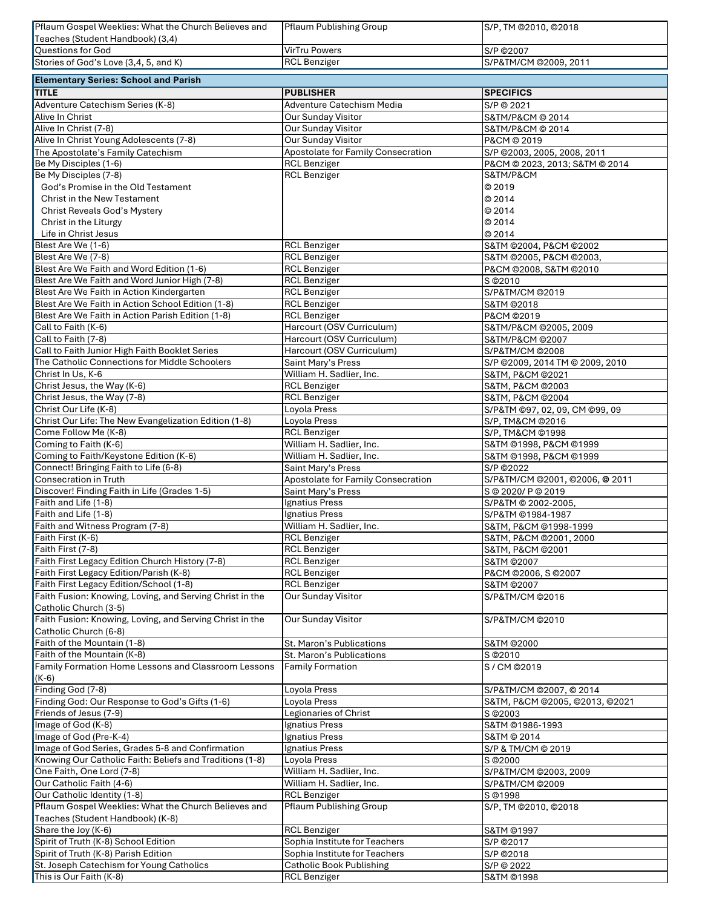| Pflaum Gospel Weeklies: What the Church Believes and                | Pflaum Publishing Group                                | S/P, TM @2010, @2018            |
|---------------------------------------------------------------------|--------------------------------------------------------|---------------------------------|
| Teaches (Student Handbook) (3,4)                                    |                                                        |                                 |
| <b>Questions for God</b>                                            | <b>VirTru Powers</b>                                   | S/P @2007                       |
| Stories of God's Love (3,4, 5, and K)                               | <b>RCL Benziger</b>                                    | S/P&TM/CM @2009, 2011           |
|                                                                     |                                                        |                                 |
| <b>Elementary Series: School and Parish</b>                         |                                                        |                                 |
| <b>TITLE</b>                                                        | <b>PUBLISHER</b>                                       | <b>SPECIFICS</b>                |
| Adventure Catechism Series (K-8)                                    | Adventure Catechism Media                              | S/P © 2021                      |
| Alive In Christ                                                     | Our Sunday Visitor                                     | S&TM/P&CM © 2014                |
| Alive In Christ (7-8)                                               | Our Sunday Visitor                                     | S&TM/P&CM @ 2014                |
| Alive In Christ Young Adolescents (7-8)                             | Our Sunday Visitor                                     | P&CM @ 2019                     |
|                                                                     |                                                        |                                 |
| The Apostolate's Family Catechism                                   | Apostolate for Family Consecration                     | S/P @2003, 2005, 2008, 2011     |
| Be My Disciples (1-6)                                               | <b>RCL Benziger</b>                                    | P&CM @ 2023, 2013; S&TM @ 2014  |
| Be My Disciples (7-8)                                               | <b>RCL Benziger</b>                                    | S&TM/P&CM                       |
| God's Promise in the Old Testament                                  |                                                        | C 2019                          |
| Christ in the New Testament                                         |                                                        | © 2014                          |
| <b>Christ Reveals God's Mystery</b>                                 |                                                        | © 2014                          |
| Christ in the Liturgy                                               |                                                        | © 2014                          |
| Life in Christ Jesus                                                |                                                        | © 2014                          |
| Blest Are We (1-6)                                                  | <b>RCL Benziger</b>                                    | S&TM @2004, P&CM @2002          |
| Blest Are We (7-8)                                                  | <b>RCL Benziger</b>                                    | S&TM @2005, P&CM @2003,         |
| Blest Are We Faith and Word Edition (1-6)                           | <b>RCL Benziger</b>                                    |                                 |
|                                                                     |                                                        | P&CM @2008, S&TM @2010          |
| Blest Are We Faith and Word Junior High (7-8)                       | <b>RCL Benziger</b>                                    | S @2010                         |
| Blest Are We Faith in Action Kindergarten                           | <b>RCL Benziger</b>                                    | S/P&TM/CM @2019                 |
| Blest Are We Faith in Action School Edition (1-8)                   | <b>RCL Benziger</b>                                    | S&TM @2018                      |
| Blest Are We Faith in Action Parish Edition (1-8)                   | <b>RCL Benziger</b>                                    | P&CM ©2019                      |
| Call to Faith (K-6)                                                 | Harcourt (OSV Curriculum)                              | S&TM/P&CM @2005, 2009           |
| Call to Faith (7-8)                                                 | Harcourt (OSV Curriculum)                              | S&TM/P&CM @2007                 |
| Call to Faith Junior High Faith Booklet Series                      | Harcourt (OSV Curriculum)                              | S/P&TM/CM @2008                 |
| The Catholic Connections for Middle Schoolers                       | Saint Mary's Press                                     | S/P ©2009, 2014 TM © 2009, 2010 |
| Christ In Us, K-6                                                   | William H. Sadlier, Inc.                               | S&TM, P&CM @2021                |
| Christ Jesus, the Way (K-6)                                         | <b>RCL Benziger</b>                                    | S&TM, P&CM ©2003                |
|                                                                     |                                                        |                                 |
| Christ Jesus, the Way (7-8)                                         | <b>RCL Benziger</b>                                    | S&TM, P&CM ©2004                |
| Christ Our Life (K-8)                                               | Loyola Press                                           | S/P&TM @97, 02, 09, CM @99, 09  |
| Christ Our Life: The New Evangelization Edition (1-8)               | Loyola Press                                           | S/P, TM&CM @2016                |
| Come Follow Me (K-8)                                                | <b>RCL Benziger</b>                                    | S/P, TM&CM ©1998                |
| Coming to Faith (K-6)                                               | William H. Sadlier, Inc.                               | S&TM @1998, P&CM @1999          |
| Coming to Faith/Keystone Edition (K-6)                              | William H. Sadlier, Inc.                               | S&TM @1998, P&CM @1999          |
| Connect! Bringing Faith to Life (6-8)                               | Saint Mary's Press                                     | S/P @2022                       |
| Consecration in Truth                                               | Apostolate for Family Consecration                     | S/P&TM/CM @2001, @2006, @ 2011  |
| Discover! Finding Faith in Life (Grades 1-5)                        | Saint Mary's Press                                     | S @ 2020/ P @ 2019              |
| Faith and Life (1-8)                                                | Ignatius Press                                         | S/P&TM @ 2002-2005,             |
| Faith and Life (1-8)                                                | Ignatius Press                                         | S/P&TM @1984-1987               |
| Faith and Witness Program (7-8)                                     | William H. Sadlier, Inc.                               | S&TM, P&CM ©1998-1999           |
| Faith First (K-6)                                                   | <b>RCL Benziger</b>                                    | S&TM, P&CM @2001, 2000          |
| Faith First (7-8)                                                   |                                                        |                                 |
|                                                                     | <b>RCL Benziger</b>                                    | S&TM, P&CM ©2001                |
| Faith First Legacy Edition Church History (7-8)                     | <b>RCL Benziger</b>                                    | S&TM @2007                      |
| Faith First Legacy Edition/Parish (K-8)                             | <b>RCL Benziger</b>                                    | P&CM @2006, S @2007             |
| Faith First Legacy Edition/School (1-8)                             | <b>RCL Benziger</b>                                    | S&TM @2007                      |
| Faith Fusion: Knowing, Loving, and Serving Christ in the            | <b>Our Sunday Visitor</b>                              | S/P&TM/CM @2016                 |
| Catholic Church (3-5)                                               |                                                        |                                 |
| Faith Fusion: Knowing, Loving, and Serving Christ in the            | Our Sunday Visitor                                     | S/P&TM/CM @2010                 |
| Catholic Church (6-8)                                               |                                                        |                                 |
| Faith of the Mountain (1-8)                                         | St. Maron's Publications                               | S&TM @2000                      |
| Faith of the Mountain (K-8)                                         | St. Maron's Publications                               | S © 2010                        |
| Family Formation Home Lessons and Classroom Lessons                 |                                                        |                                 |
| (K-6)                                                               |                                                        |                                 |
|                                                                     | <b>Family Formation</b>                                | S/CM @2019                      |
|                                                                     |                                                        |                                 |
| Finding God (7-8)                                                   | Loyola Press                                           | S/P&TM/CM @2007, @ 2014         |
| Finding God: Our Response to God's Gifts (1-6)                      | Loyola Press                                           | S&TM, P&CM ©2005, ©2013, ©2021  |
| Friends of Jesus (7-9)                                              | Legionaries of Christ                                  | S © 2003                        |
| Image of God (K-8)                                                  | Ignatius Press                                         | S&TM @1986-1993                 |
| Image of God (Pre-K-4)                                              | Ignatius Press                                         | S&TM @ 2014                     |
| Image of God Series, Grades 5-8 and Confirmation                    | Ignatius Press                                         | S/P & TM/CM @ 2019              |
| Knowing Our Catholic Faith: Beliefs and Traditions (1-8)            | Loyola Press                                           | S © 2000                        |
| One Faith, One Lord (7-8)                                           | William H. Sadlier, Inc.                               | S/P&TM/CM @2003, 2009           |
|                                                                     |                                                        |                                 |
| Our Catholic Faith (4-6)                                            | William H. Sadlier, Inc.                               | S/P&TM/CM @2009                 |
| Our Catholic Identity (1-8)                                         | <b>RCL Benziger</b>                                    | S ©1998                         |
| Pflaum Gospel Weeklies: What the Church Believes and                | <b>Pflaum Publishing Group</b>                         | S/P, TM @2010, @2018            |
| Teaches (Student Handbook) (K-8)                                    |                                                        |                                 |
| Share the Joy (K-6)                                                 | <b>RCL Benziger</b>                                    | S&TM @1997                      |
| Spirit of Truth (K-8) School Edition                                | Sophia Institute for Teachers                          | S/P @2017                       |
| Spirit of Truth (K-8) Parish Edition                                | Sophia Institute for Teachers                          | S/P @2018                       |
| St. Joseph Catechism for Young Catholics<br>This is Our Faith (K-8) | <b>Catholic Book Publishing</b><br><b>RCL Benziger</b> | S/P © 2022<br>S&TM @1998        |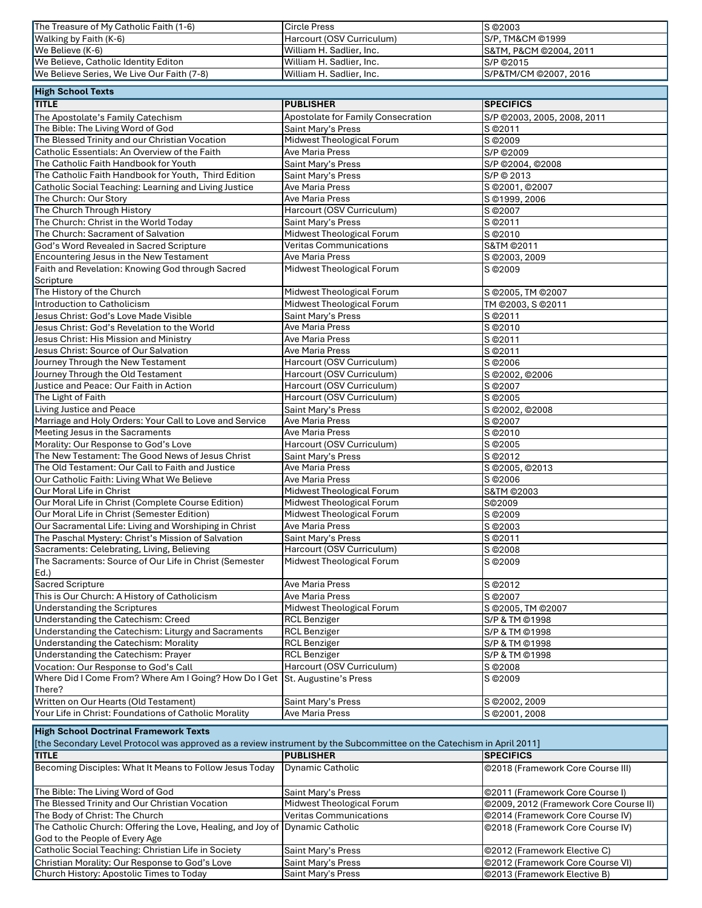| The Treasure of My Catholic Faith (1-6)    | Circle Press              | IS ©2003                     |
|--------------------------------------------|---------------------------|------------------------------|
| <b>Walking by Faith <math>(K-6)</math></b> | Harcourt (OSV Curriculum) | <b>IS/P. TM&amp;CM ©1999</b> |
| $I$ We Believe $(K-6)$                     | William H. Sadlier, Inc.  | IS&TM. P&CM ©2004. 2011      |
| We Believe, Catholic Identity Editon       | William H. Sadlier, Inc.  | S/P © 2015                   |
| We Believe Series, We Live Our Faith (7-8) | William H. Sadlier, Inc.  | S/P&TM/CM @2007, 2016        |

| <b>High School Texts</b>                                |                                    |                             |
|---------------------------------------------------------|------------------------------------|-----------------------------|
| <b>TITLE</b>                                            | <b>PUBLISHER</b>                   | <b>SPECIFICS</b>            |
| The Apostolate's Family Catechism                       | Apostolate for Family Consecration | S/P @2003, 2005, 2008, 2011 |
| The Bible: The Living Word of God                       | Saint Mary's Press                 | S © 2011                    |
| The Blessed Trinity and our Christian Vocation          | Midwest Theological Forum          | $\overline{S}$ © 2009       |
| Catholic Essentials: An Overview of the Faith           | <b>Ave Maria Press</b>             | S/P ©2009                   |
| The Catholic Faith Handbook for Youth                   | Saint Mary's Press                 | S/P @2004, @2008            |
| The Catholic Faith Handbook for Youth, Third Edition    | Saint Mary's Press                 | S/P © 2013                  |
| Catholic Social Teaching: Learning and Living Justice   | Ave Maria Press                    | S @2001, @2007              |
| The Church: Our Story                                   | Ave Maria Press                    | S @1999, 2006               |
| The Church Through History                              | Harcourt (OSV Curriculum)          | S © 2007                    |
| The Church: Christ in the World Today                   | Saint Mary's Press                 | S © 2011                    |
| The Church: Sacrament of Salvation                      | Midwest Theological Forum          | S © 2010                    |
| God's Word Revealed in Sacred Scripture                 | <b>Veritas Communications</b>      | S&TM @2011                  |
| Encountering Jesus in the New Testament                 | <b>Ave Maria Press</b>             | S @2003, 2009               |
| Faith and Revelation: Knowing God through Sacred        | Midwest Theological Forum          | S © 2009                    |
| Scripture                                               |                                    |                             |
| The History of the Church                               | Midwest Theological Forum          | S @2005, TM @2007           |
| Introduction to Catholicism                             | Midwest Theological Forum          | TM @2003, S @2011           |
| Jesus Christ: God's Love Made Visible                   | Saint Mary's Press                 | S © 2011                    |
| Jesus Christ: God's Revelation to the World             | <b>Ave Maria Press</b>             | S @2010                     |
| Jesus Christ: His Mission and Ministry                  | Ave Maria Press                    | S © 2011                    |
| Jesus Christ: Source of Our Salvation                   | Ave Maria Press                    | S © 2011                    |
| Journey Through the New Testament                       | Harcourt (OSV Curriculum)          | S © 2006                    |
| Journey Through the Old Testament                       | Harcourt (OSV Curriculum)          | S @2002, @2006              |
| Justice and Peace: Our Faith in Action                  | Harcourt (OSV Curriculum)          | S © 2007                    |
| The Light of Faith                                      | Harcourt (OSV Curriculum)          | S @2005                     |
| Living Justice and Peace                                | Saint Mary's Press                 | S ©2002, ©2008              |
| Marriage and Holy Orders: Your Call to Love and Service | Ave Maria Press                    | S © 2007                    |
| Meeting Jesus in the Sacraments                         | Ave Maria Press                    | S © 2010                    |
| Morality: Our Response to God's Love                    | Harcourt (OSV Curriculum)          | S © 2005                    |
| The New Testament: The Good News of Jesus Christ        | Saint Mary's Press                 | S © 2012                    |
| The Old Testament: Our Call to Faith and Justice        | Ave Maria Press                    | S @2005, @2013              |
| Our Catholic Faith: Living What We Believe              | <b>Ave Maria Press</b>             | S © 2006                    |
| Our Moral Life in Christ                                | Midwest Theological Forum          | S&TM @2003                  |
| Our Moral Life in Christ (Complete Course Edition)      | Midwest Theological Forum          | S©2009                      |
| Our Moral Life in Christ (Semester Edition)             | Midwest Theological Forum          | S @2009                     |
| Our Sacramental Life: Living and Worshiping in Christ   | <b>Ave Maria Press</b>             | S © 2003                    |
| The Paschal Mystery: Christ's Mission of Salvation      | Saint Mary's Press                 | S © 2011                    |
| Sacraments: Celebrating, Living, Believing              | Harcourt (OSV Curriculum)          | S © 2008                    |
| The Sacraments: Source of Our Life in Christ (Semester  | Midwest Theological Forum          | S © 2009                    |
| $Ed.$ )                                                 |                                    |                             |
| Sacred Scripture                                        | Ave Maria Press                    | S @2012                     |
| This is Our Church: A History of Catholicism            | Ave Maria Press                    | S @2007                     |
| <b>Understanding the Scriptures</b>                     | Midwest Theological Forum          | S @2005, TM @2007           |
| Understanding the Catechism: Creed                      | <b>RCL Benziger</b>                | S/P & TM @1998              |
| Understanding the Catechism: Liturgy and Sacraments     | <b>RCL Benziger</b>                | S/P & TM @1998              |
| Understanding the Catechism: Morality                   | <b>RCL Benziger</b>                | S/P & TM @1998              |
| Understanding the Catechism: Prayer                     | <b>RCL Benziger</b>                | S/P & TM @1998              |
| Vocation: Our Response to God's Call                    | Harcourt (OSV Curriculum)          | S © 2008                    |
| Where Did I Come From? Where Am I Going? How Do I Get   | St. Augustine's Press              | S © 2009                    |
| There?                                                  |                                    |                             |
| Written on Our Hearts (Old Testament)                   | Saint Mary's Press                 | S @2002, 2009               |
| Your Life in Christ: Foundations of Catholic Morality   | Ave Maria Press                    | S @2001, 2008               |
|                                                         |                                    |                             |
| <b>High School Doctrinal Framework Texts</b>            |                                    |                             |

| [the Secondary Level Protocol was approved as a review instrument by the Subcommittee on the Catechism in April 2011] |                               |                                        |  |
|-----------------------------------------------------------------------------------------------------------------------|-------------------------------|----------------------------------------|--|
| <b>TITLE</b>                                                                                                          | <b>PUBLISHER</b>              | <b>SPECIFICS</b>                       |  |
| Becoming Disciples: What It Means to Follow Jesus Today                                                               | Dynamic Catholic              | @2018 (Framework Core Course III)      |  |
| The Bible: The Living Word of God                                                                                     | Saint Mary's Press            | O2011 (Framework Core Course I)        |  |
| The Blessed Trinity and Our Christian Vocation                                                                        | Midwest Theological Forum     | @2009, 2012 (Framework Core Course II) |  |
| The Body of Christ: The Church                                                                                        | <b>Veritas Communications</b> | ©2014 (Framework Core Course IV)       |  |
| The Catholic Church: Offering the Love, Healing, and Joy of Dynamic Catholic                                          |                               | ©2018 (Framework Core Course IV)       |  |
| God to the People of Every Age                                                                                        |                               |                                        |  |
| Catholic Social Teaching: Christian Life in Society                                                                   | Saint Mary's Press            | ©2012 (Framework Elective C)           |  |
| Christian Morality: Our Response to God's Love                                                                        | Saint Mary's Press            | @2012 (Framework Core Course VI)       |  |
| Church History: Apostolic Times to Today                                                                              | Saint Mary's Press            | ©2013 (Framework Elective B)           |  |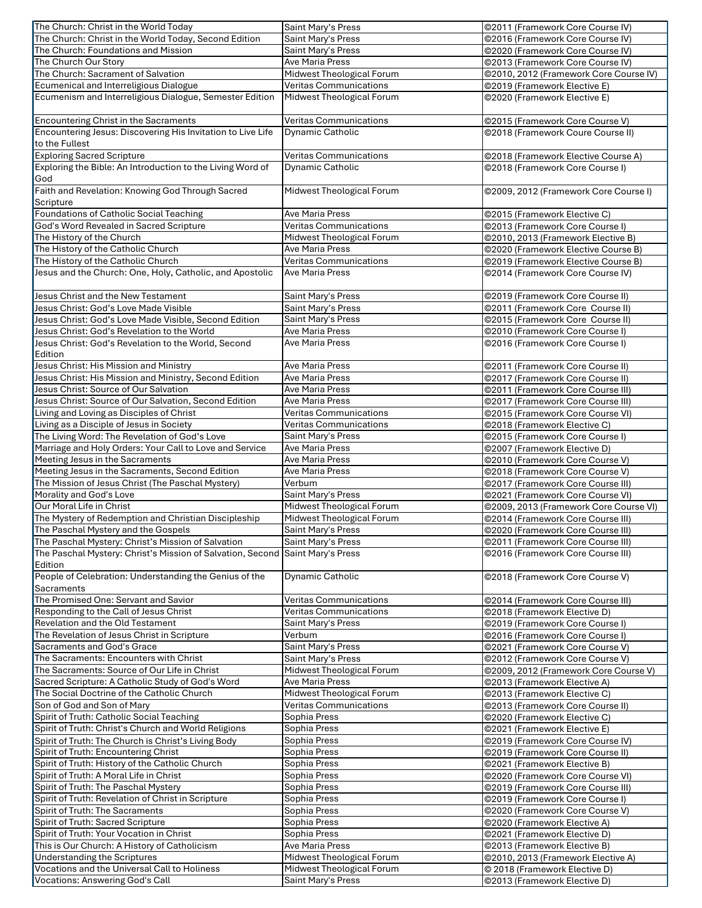| The Church: Christ in the World Today                       | Saint Mary's Press            | ©2011 (Framework Core Course IV)       |
|-------------------------------------------------------------|-------------------------------|----------------------------------------|
| The Church: Christ in the World Today, Second Edition       | Saint Mary's Press            | ©2016 (Framework Core Course IV)       |
| The Church: Foundations and Mission                         | <b>Saint Mary's Press</b>     | @2020 (Framework Core Course IV)       |
| The Church Our Story                                        | Ave Maria Press               | @2013 (Framework Core Course IV)       |
| The Church: Sacrament of Salvation                          | Midwest Theological Forum     | @2010, 2012 (Framework Core Course IV) |
| Ecumenical and Interreligious Dialogue                      | <b>Veritas Communications</b> | @2019 (Framework Elective E)           |
| Ecumenism and Interreligious Dialogue, Semester Edition     | Midwest Theological Forum     | @2020 (Framework Elective E)           |
|                                                             |                               |                                        |
| Encountering Christ in the Sacraments                       | <b>Veritas Communications</b> | @2015 (Framework Core Course V)        |
|                                                             |                               |                                        |
| Encountering Jesus: Discovering His Invitation to Live Life | <b>Dynamic Catholic</b>       | @2018 (Framework Coure Course II)      |
| to the Fullest                                              |                               |                                        |
| <b>Exploring Sacred Scripture</b>                           | <b>Veritas Communications</b> | @2018 (Framework Elective Course A)    |
| Exploring the Bible: An Introduction to the Living Word of  | <b>Dynamic Catholic</b>       | @2018 (Framework Core Course I)        |
| God                                                         |                               |                                        |
| Faith and Revelation: Knowing God Through Sacred            | Midwest Theological Forum     | @2009, 2012 (Framework Core Course I)  |
| Scripture                                                   |                               |                                        |
| Foundations of Catholic Social Teaching                     | <b>Ave Maria Press</b>        | ©2015 (Framework Elective C)           |
| God's Word Revealed in Sacred Scripture                     | <b>Veritas Communications</b> | @2013 (Framework Core Course I)        |
| The History of the Church                                   | Midwest Theological Forum     | @2010, 2013 (Framework Elective B)     |
| The History of the Catholic Church                          | <b>Ave Maria Press</b>        | @2020 (Framework Elective Course B)    |
| The History of the Catholic Church                          | <b>Veritas Communications</b> |                                        |
|                                                             |                               | @2019 (Framework Elective Course B)    |
| Jesus and the Church: One, Holy, Catholic, and Apostolic    | Ave Maria Press               | @2014 (Framework Core Course IV)       |
|                                                             |                               |                                        |
| Jesus Christ and the New Testament                          | Saint Mary's Press            | @2019 (Framework Core Course II)       |
| Jesus Christ: God's Love Made Visible                       | Saint Mary's Press            | @2011 (Framework Core Course II)       |
| Jesus Christ: God's Love Made Visible, Second Edition       | <b>Saint Mary's Press</b>     | @2015 (Framework Core Course II)       |
| Jesus Christ: God's Revelation to the World                 | Ave Maria Press               | @2010 (Framework Core Course I)        |
| Jesus Christ: God's Revelation to the World, Second         | Ave Maria Press               | ©2016 (Framework Core Course I)        |
| Edition                                                     |                               |                                        |
| Jesus Christ: His Mission and Ministry                      | <b>Ave Maria Press</b>        |                                        |
| Jesus Christ: His Mission and Ministry, Second Edition      | <b>Ave Maria Press</b>        | @2011 (Framework Core Course II)       |
|                                                             |                               | @2017 (Framework Core Course II)       |
| Jesus Christ: Source of Our Salvation                       | Ave Maria Press               | @2011 (Framework Core Course III)      |
| Jesus Christ: Source of Our Salvation, Second Edition       | Ave Maria Press               | @2017 (Framework Core Course III)      |
| Living and Loving as Disciples of Christ                    | <b>Veritas Communications</b> | @2015 (Framework Core Course VI)       |
| Living as a Disciple of Jesus in Society                    | <b>Veritas Communications</b> | ©2018 (Framework Elective C)           |
| The Living Word: The Revelation of God's Love               | Saint Mary's Press            | @2015 (Framework Core Course I)        |
| Marriage and Holy Orders: Your Call to Love and Service     | Ave Maria Press               | @2007 (Framework Elective D)           |
| Meeting Jesus in the Sacraments                             | Ave Maria Press               | @2010 (Framework Core Course V)        |
| Meeting Jesus in the Sacraments, Second Edition             | <b>Ave Maria Press</b>        | @2018 (Framework Core Course V)        |
| The Mission of Jesus Christ (The Paschal Mystery)           | Verbum                        | @2017 (Framework Core Course III)      |
|                                                             |                               |                                        |
| Morality and God's Love                                     | Saint Mary's Press            | @2021 (Framework Core Course VI)       |
| Our Moral Life in Christ                                    | Midwest Theological Forum     | @2009, 2013 (Framework Core Course VI) |
| The Mystery of Redemption and Christian Discipleship        | Midwest Theological Forum     | @2014 (Framework Core Course III)      |
| The Paschal Mystery and the Gospels                         | <b>Saint Mary's Press</b>     | @2020 (Framework Core Course III)      |
| The Paschal Mystery: Christ's Mission of Salvation          | Saint Mary's Press            | @2011 (Framework Core Course III)      |
| The Paschal Mystery: Christ's Mission of Salvation, Second  | Saint Mary's Press            | @2016 (Framework Core Course III)      |
| Edition                                                     |                               |                                        |
| People of Celebration: Understanding the Genius of the      | <b>Dynamic Catholic</b>       | @2018 (Framework Core Course V)        |
| Sacraments                                                  |                               |                                        |
| The Promised One: Servant and Savior                        | Veritas Communications        | @2014 (Framework Core Course III)      |
| Responding to the Call of Jesus Christ                      | Veritas Communications        | @2018 (Framework Elective D)           |
|                                                             |                               |                                        |
| Revelation and the Old Testament                            | Saint Mary's Press            | @2019 (Framework Core Course I)        |
| The Revelation of Jesus Christ in Scripture                 | Verbum                        | @2016 (Framework Core Course I)        |
| Sacraments and God's Grace                                  | Saint Mary's Press            | @2021 (Framework Core Course V)        |
| The Sacraments: Encounters with Christ                      | Saint Mary's Press            | @2012 (Framework Core Course V)        |
| The Sacraments: Source of Our Life in Christ                | Midwest Theological Forum     | @2009, 2012 (Framework Core Course V)  |
| Sacred Scripture: A Catholic Study of God's Word            | Ave Maria Press               | @2013 (Framework Elective A)           |
| The Social Doctrine of the Catholic Church                  | Midwest Theological Forum     | @2013 (Framework Elective C)           |
| Son of God and Son of Mary                                  | Veritas Communications        | @2013 (Framework Core Course II)       |
| Spirit of Truth: Catholic Social Teaching                   | Sophia Press                  | @2020 (Framework Elective C)           |
| Spirit of Truth: Christ's Church and World Religions        | Sophia Press                  | @2021 (Framework Elective E)           |
| Spirit of Truth: The Church is Christ's Living Body         | Sophia Press                  |                                        |
|                                                             |                               | @2019 (Framework Core Course IV)       |
| Spirit of Truth: Encountering Christ                        | Sophia Press                  | @2019 (Framework Core Course II)       |
| Spirit of Truth: History of the Catholic Church             | Sophia Press                  | @2021 (Framework Elective B)           |
| Spirit of Truth: A Moral Life in Christ                     | Sophia Press                  | @2020 (Framework Core Course VI)       |
| Spirit of Truth: The Paschal Mystery                        | Sophia Press                  | @2019 (Framework Core Course III)      |
| Spirit of Truth: Revelation of Christ in Scripture          | Sophia Press                  | @2019 (Framework Core Course I)        |
| Spirit of Truth: The Sacraments                             | Sophia Press                  | @2020 (Framework Core Course V)        |
| Spirit of Truth: Sacred Scripture                           | Sophia Press                  | @2020 (Framework Elective A)           |
| Spirit of Truth: Your Vocation in Christ                    | Sophia Press                  | @2021 (Framework Elective D)           |
| This is Our Church: A History of Catholicism                | Ave Maria Press               | @2013 (Framework Elective B)           |
|                                                             |                               |                                        |
| Understanding the Scriptures                                | Midwest Theological Forum     | @2010, 2013 (Framework Elective A)     |
| Vocations and the Universal Call to Holiness                | Midwest Theological Forum     | © 2018 (Framework Elective D)          |
| Vocations: Answering God's Call                             | Saint Mary's Press            | @2013 (Framework Elective D)           |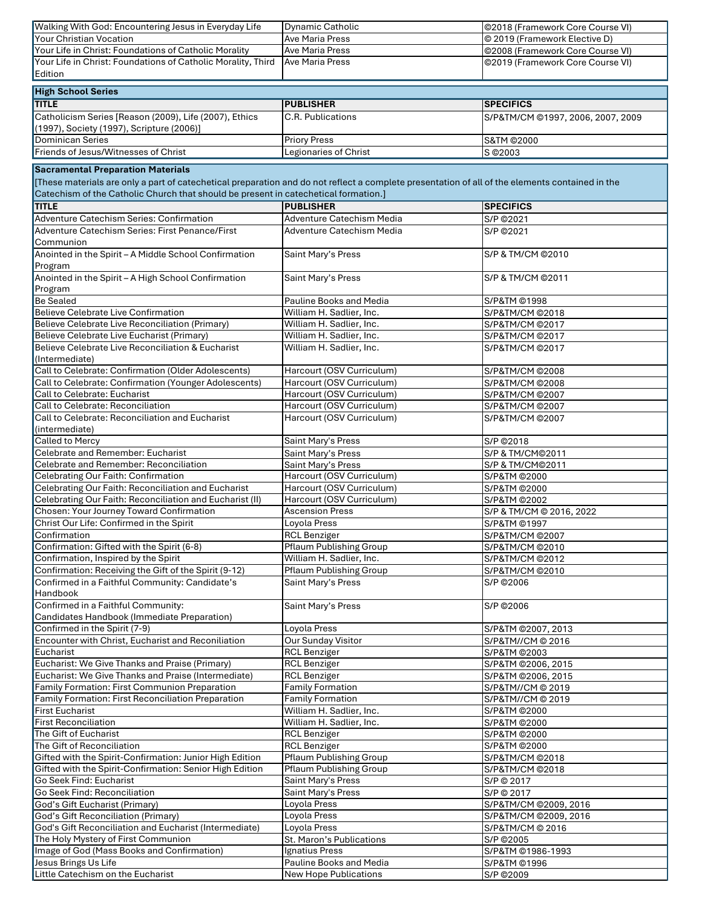| Walking With God: Encountering Jesus in Everyday Life                                                                                           | <b>Dynamic Catholic</b>                    | ©2018 (Framework Core Course VI)  |
|-------------------------------------------------------------------------------------------------------------------------------------------------|--------------------------------------------|-----------------------------------|
| <b>Your Christian Vocation</b>                                                                                                                  | Ave Maria Press                            | © 2019 (Framework Elective D)     |
| Your Life in Christ: Foundations of Catholic Morality                                                                                           | <b>Ave Maria Press</b>                     | @2008 (Framework Core Course VI)  |
| Your Life in Christ: Foundations of Catholic Morality, Third                                                                                    | <b>Ave Maria Press</b>                     | @2019 (Framework Core Course VI)  |
| Edition                                                                                                                                         |                                            |                                   |
|                                                                                                                                                 |                                            |                                   |
| <b>High School Series</b>                                                                                                                       |                                            |                                   |
| <b>TITLE</b>                                                                                                                                    | <b>PUBLISHER</b>                           | <b>SPECIFICS</b>                  |
| Catholicism Series [Reason (2009), Life (2007), Ethics                                                                                          | C.R. Publications                          | S/P&TM/CM @1997, 2006, 2007, 2009 |
| (1997), Society (1997), Scripture (2006)]                                                                                                       |                                            |                                   |
| <b>Dominican Series</b>                                                                                                                         | <b>Priory Press</b>                        | S&TM @2000                        |
| Friends of Jesus/Witnesses of Christ                                                                                                            | Legionaries of Christ                      | S @2003                           |
|                                                                                                                                                 |                                            |                                   |
| <b>Sacramental Preparation Materials</b>                                                                                                        |                                            |                                   |
| [These materials are only a part of catechetical preparation and do not reflect a complete presentation of all of the elements contained in the |                                            |                                   |
| Catechism of the Catholic Church that should be present in catechetical formation.]                                                             |                                            |                                   |
| <b>TITLE</b>                                                                                                                                    | <b>PUBLISHER</b>                           | <b>SPECIFICS</b>                  |
| Adventure Catechism Series: Confirmation                                                                                                        | Adventure Catechism Media                  | S/P ©2021                         |
| Adventure Catechism Series: First Penance/First                                                                                                 | Adventure Catechism Media                  | S/P ©2021                         |
| Communion                                                                                                                                       |                                            |                                   |
| Anointed in the Spirit - A Middle School Confirmation                                                                                           | Saint Mary's Press                         | S/P & TM/CM @2010                 |
| Program                                                                                                                                         |                                            |                                   |
| Anointed in the Spirit - A High School Confirmation                                                                                             | Saint Mary's Press                         | S/P & TM/CM @2011                 |
| Program                                                                                                                                         |                                            |                                   |
| <b>Be Sealed</b>                                                                                                                                | Pauline Books and Media                    | S/P&TM ©1998                      |
| <b>Believe Celebrate Live Confirmation</b>                                                                                                      | William H. Sadlier, Inc.                   | S/P&TM/CM @2018                   |
| Believe Celebrate Live Reconciliation (Primary)                                                                                                 | William H. Sadlier, Inc.                   | S/P&TM/CM @2017                   |
| Believe Celebrate Live Eucharist (Primary)                                                                                                      | William H. Sadlier, Inc.                   | S/P&TM/CM @2017                   |
| Believe Celebrate Live Reconciliation & Eucharist                                                                                               | William H. Sadlier, Inc.                   | S/P&TM/CM @2017                   |
| (Intermediate)                                                                                                                                  |                                            |                                   |
| Call to Celebrate: Confirmation (Older Adolescents)                                                                                             | Harcourt (OSV Curriculum)                  | S/P&TM/CM @2008                   |
| Call to Celebrate: Confirmation (Younger Adolescents)                                                                                           | Harcourt (OSV Curriculum)                  | S/P&TM/CM @2008                   |
| Call to Celebrate: Eucharist                                                                                                                    | Harcourt (OSV Curriculum)                  | S/P&TM/CM @2007                   |
| Call to Celebrate: Reconciliation                                                                                                               | Harcourt (OSV Curriculum)                  | S/P&TM/CM @2007                   |
| Call to Celebrate: Reconciliation and Eucharist                                                                                                 | Harcourt (OSV Curriculum)                  | S/P&TM/CM @2007                   |
| (intermediate)                                                                                                                                  |                                            |                                   |
| Called to Mercy                                                                                                                                 | Saint Mary's Press                         |                                   |
| Celebrate and Remember: Eucharist                                                                                                               |                                            | S/P ©2018                         |
|                                                                                                                                                 | Saint Mary's Press                         | S/P & TM/CM@2011                  |
| Celebrate and Remember: Reconciliation                                                                                                          | Saint Mary's Press                         | S/P & TM/CM@2011                  |
| Celebrating Our Faith: Confirmation                                                                                                             | Harcourt (OSV Curriculum)                  | S/P&TM @2000                      |
| Celebrating Our Faith: Reconciliation and Eucharist                                                                                             | Harcourt (OSV Curriculum)                  | S/P&TM @2000                      |
| Celebrating Our Faith: Reconciliation and Eucharist (II)                                                                                        | Harcourt (OSV Curriculum)                  | S/P&TM @2002                      |
| <b>Chosen: Your Journey Toward Confirmation</b>                                                                                                 | <b>Ascension Press</b>                     | S/P & TM/CM @ 2016, 2022          |
| Christ Our Life: Confirmed in the Spirit                                                                                                        | Loyola Press                               | S/P&TM ©1997                      |
| Confirmation                                                                                                                                    | <b>RCL Benziger</b>                        | S/P&TM/CM @2007                   |
| Confirmation: Gifted with the Spirit (6-8)                                                                                                      | <b>Pflaum Publishing Group</b>             | S/P&TM/CM @2010                   |
| Confirmation, Inspired by the Spirit                                                                                                            | William H. Sadlier, Inc.                   | S/P&TM/CM @2012                   |
| Confirmation: Receiving the Gift of the Spirit (9-12)                                                                                           | Pflaum Publishing Group                    | S/P&TM/CM @2010                   |
| Confirmed in a Faithful Community: Candidate's                                                                                                  | Saint Mary's Press                         | S/P ©2006                         |
| Handbook                                                                                                                                        |                                            |                                   |
| Confirmed in a Faithful Community:                                                                                                              | Saint Mary's Press                         | S/P ©2006                         |
| Candidates Handbook (Immediate Preparation)                                                                                                     |                                            |                                   |
| Confirmed in the Spirit (7-9)                                                                                                                   | Loyola Press                               | S/P&TM @2007, 2013                |
| Encounter with Christ, Eucharist and Reconiliation                                                                                              | <b>Our Sunday Visitor</b>                  | S/P&TM//CM @ 2016                 |
| Eucharist                                                                                                                                       | <b>RCL Benziger</b>                        | S/P&TM @2003                      |
| Eucharist: We Give Thanks and Praise (Primary)                                                                                                  | <b>RCL Benziger</b>                        | S/P&TM @2006, 2015                |
| Eucharist: We Give Thanks and Praise (Intermediate)                                                                                             | <b>RCL Benziger</b>                        | S/P&TM @2006, 2015                |
| Family Formation: First Communion Preparation                                                                                                   | <b>Family Formation</b>                    | S/P&TM//CM @ 2019                 |
| Family Formation: First Reconciliation Preparation                                                                                              | <b>Family Formation</b>                    | S/P&TM//CM @ 2019                 |
| <b>First Eucharist</b>                                                                                                                          | William H. Sadlier, Inc.                   | S/P&TM @2000                      |
| <b>First Reconciliation</b>                                                                                                                     | William H. Sadlier, Inc.                   | S/P&TM @2000                      |
| The Gift of Eucharist                                                                                                                           | <b>RCL Benziger</b>                        | S/P&TM @2000                      |
| The Gift of Reconciliation                                                                                                                      | <b>RCL Benziger</b>                        | S/P&TM @2000                      |
| Gifted with the Spirit-Confirmation: Junior High Edition                                                                                        | Pflaum Publishing Group                    | S/P&TM/CM @2018                   |
| Gifted with the Spirit-Confirmation: Senior High Edition                                                                                        | <b>Pflaum Publishing Group</b>             | S/P&TM/CM @2018                   |
| Go Seek Find: Eucharist                                                                                                                         | Saint Mary's Press                         | S/P © 2017                        |
| Go Seek Find: Reconciliation                                                                                                                    | Saint Mary's Press                         | S/P @ 2017                        |
| God's Gift Eucharist (Primary)                                                                                                                  | Loyola Press                               | S/P&TM/CM @2009, 2016             |
| God's Gift Reconciliation (Primary)                                                                                                             | Loyola Press                               | S/P&TM/CM @2009, 2016             |
| God's Gift Reconciliation and Eucharist (Intermediate)                                                                                          | Loyola Press                               | S/P&TM/CM @ 2016                  |
| The Holy Mystery of First Communion                                                                                                             |                                            |                                   |
| Image of God (Mass Books and Confirmation)                                                                                                      | St. Maron's Publications<br>Ignatius Press | S/P @2005                         |
| Jesus Brings Us Life                                                                                                                            | Pauline Books and Media                    | S/P&TM @1986-1993                 |
| Little Catechism on the Eucharist                                                                                                               |                                            | S/P&TM @1996                      |
|                                                                                                                                                 | New Hope Publications                      | S/P ©2009                         |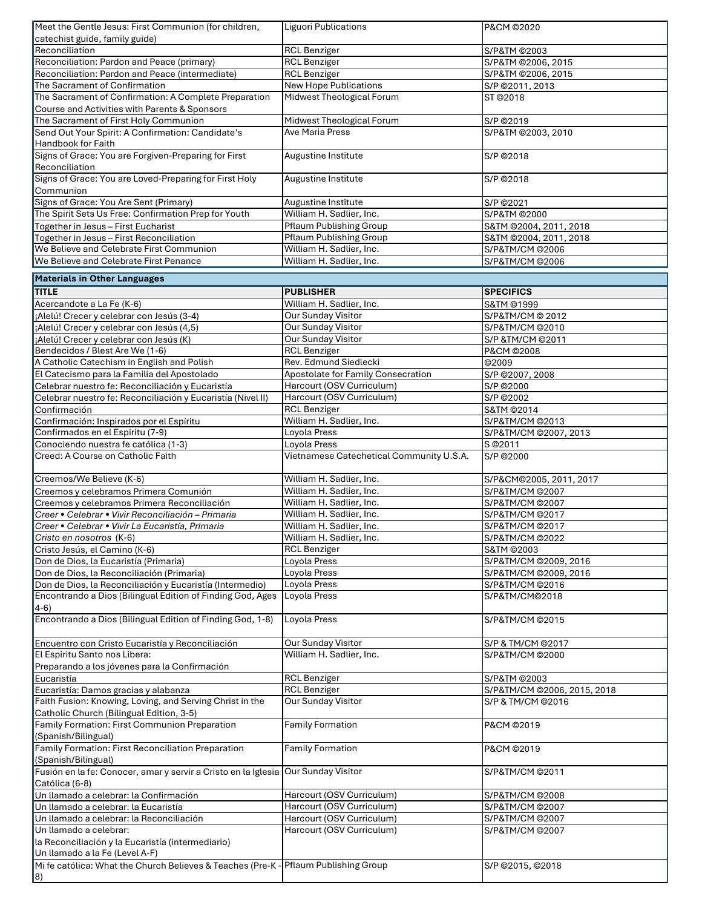| Meet the Gentle Jesus: First Communion (for children,  | Liguori Publications           | P&CM ©2020             |
|--------------------------------------------------------|--------------------------------|------------------------|
| catechist guide, family guide)                         |                                |                        |
| Reconciliation                                         | <b>RCL Benziger</b>            | S/P&TM ©2003           |
| Reconciliation: Pardon and Peace (primary)             | <b>RCL Benziger</b>            | S/P&TM @2006, 2015     |
| Reconciliation: Pardon and Peace (intermediate)        | <b>RCL Benziger</b>            | S/P&TM @2006, 2015     |
| The Sacrament of Confirmation                          | <b>New Hope Publications</b>   | S/P @2011, 2013        |
| The Sacrament of Confirmation: A Complete Preparation  | Midwest Theological Forum      | ST ©2018               |
| Course and Activities with Parents & Sponsors          |                                |                        |
| The Sacrament of First Holy Communion                  | Midwest Theological Forum      | S/P © 2019             |
| Send Out Your Spirit: A Confirmation: Candidate's      | Ave Maria Press                | S/P&TM @2003, 2010     |
| <b>Handbook for Faith</b>                              |                                |                        |
| Signs of Grace: You are Forgiven-Preparing for First   | Augustine Institute            | S/P © 2018             |
| Reconciliation                                         |                                |                        |
| Signs of Grace: You are Loved-Preparing for First Holy | Augustine Institute            | S/P © 2018             |
| Communion                                              |                                |                        |
| Signs of Grace: You Are Sent (Primary)                 | Augustine Institute            | S/P ©2021              |
| The Spirit Sets Us Free: Confirmation Prep for Youth   | William H. Sadlier, Inc.       | S/P&TM ©2000           |
| Together in Jesus - First Eucharist                    | Pflaum Publishing Group        | S&TM @2004, 2011, 2018 |
| Together in Jesus - First Reconciliation               | <b>Pflaum Publishing Group</b> | S&TM @2004, 2011, 2018 |
| We Believe and Celebrate First Communion               | William H. Sadlier, Inc.       | S/P&TM/CM @2006        |
| We Believe and Celebrate First Penance                 | William H. Sadlier, Inc.       | S/P&TM/CM @2006        |
| <b>Materials in Other Languages</b>                    |                                |                        |
|                                                        |                                |                        |

| William H. Sadlier, Inc.<br>Acercandote a La Fe (K-6)<br>S&TM ©1999<br>Our Sunday Visitor<br>¡Alelú! Crecer y celebrar con Jesús (3-4)<br>S/P&TM/CM @ 2012<br>Our Sunday Visitor<br>¡Alelú! Crecer y celebrar con Jesús (4,5)<br>S/P&TM/CM @2010<br>Our Sunday Visitor<br>¡Alelú! Crecer y celebrar con Jesús (K)<br>S/P &TM/CM @2011<br>Bendecidos / Blest Are We (1-6)<br><b>RCL Benziger</b><br>P&CM ©2008<br>Rev. Edmund Siedlecki<br>A Catholic Catechism in English and Polish<br>©2009<br>El Catecismo para la Familia del Apostolado<br>Apostolate for Family Consecration<br>S/P @2007, 2008<br>Harcourt (OSV Curriculum)<br>Celebrar nuestro fe: Reconciliación y Eucaristía<br>S/P ©2000<br>Harcourt (OSV Curriculum)<br>Celebrar nuestro fe: Reconciliación y Eucaristía (Nivel II)<br>S/P @2002<br><b>RCL Benziger</b><br>Confirmación<br>S&TM @2014<br>William H. Sadlier, Inc.<br>Confirmación: Inspirados por el Espíritu<br>S/P&TM/CM @2013<br>Confirmados en el Espiritu (7-9)<br>Loyola Press<br>S/P&TM/CM @2007, 2013<br>Loyola Press<br>Conociendo nuestra fe católica (1-3)<br>S © 2011<br>Vietnamese Catechetical Community U.S.A.<br>Creed: A Course on Catholic Faith<br>S/P ©2000<br>Creemos/We Believe (K-6)<br>William H. Sadlier, Inc.<br>S/P&CM@2005, 2011, 2017<br>Creemos y celebramos Primera Comunión<br>William H. Sadlier, Inc.<br>S/P&TM/CM @2007<br>William H. Sadlier, Inc.<br>Creemos y celebramos Primera Reconciliación<br>S/P&TM/CM @2007<br>William H. Sadlier, Inc.<br>Creer • Celebrar • Vivir Reconciliación - Primaria<br>S/P&TM/CM @2017<br>William H. Sadlier, Inc.<br>Creer • Celebrar • Vivir La Eucaristía, Primaria<br>S/P&TM/CM @2017<br>Cristo en nosotros (K-6)<br>William H. Sadlier, Inc.<br>S/P&TM/CM @2022<br><b>RCL Benziger</b><br>Cristo Jesús, el Camino (K-6)<br>S&TM ©2003<br>Loyola Press<br>Don de Dios, la Eucaristía (Primaria)<br>S/P&TM/CM @2009, 2016<br>Loyola Press<br>Don de Dios, la Reconciliación (Primaria)<br>S/P&TM/CM @2009, 2016<br>Loyola Press<br>Don de Dios, la Reconciliación y Eucaristía (Intermedio)<br>S/P&TM/CM @2016<br>Encontrando a Dios (Bilingual Edition of Finding God, Ages<br>Loyola Press<br>S/P&TM/CM@2018<br>4-6)<br>Encontrando a Dios (Bilingual Edition of Finding God, 1-8)<br>Loyola Press<br>S/P&TM/CM @2015<br>Our Sunday Visitor<br>Encuentro con Cristo Eucaristía y Reconciliación<br>S/P & TM/CM @2017<br>El Espiritu Santo nos Libera:<br>William H. Sadlier, Inc.<br>S/P&TM/CM @2000<br>Preparando a los jóvenes para la Confirmación<br><b>RCL Benziger</b><br>Eucaristía<br>S/P&TM ©2003<br><b>RCL Benziger</b><br>Eucaristía: Damos gracias y alabanza<br>S/P&TM/CM @2006, 2015, 2018<br>Faith Fusion: Knowing, Loving, and Serving Christ in the<br><b>Our Sunday Visitor</b><br>S/P & TM/CM @2016<br>Catholic Church (Bilingual Edition, 3-5)<br>Family Formation: First Communion Preparation<br><b>Family Formation</b><br>P&CM ©2019<br>(Spanish/Bilingual)<br>Family Formation: First Reconciliation Preparation<br><b>Family Formation</b><br>P&CM @2019<br>(Spanish/Bilingual)<br>Fusión en la fe: Conocer, amar y servir a Cristo en la Iglesia Our Sunday Visitor<br>S/P&TM/CM @2011<br>Católica (6-8)<br>Harcourt (OSV Curriculum)<br>Un llamado a celebrar: la Confirmación<br>S/P&TM/CM @2008<br>Harcourt (OSV Curriculum)<br>Un llamado a celebrar: la Eucaristía<br>S/P&TM/CM @2007<br>Harcourt (OSV Curriculum)<br>S/P&TM/CM @2007<br>Un llamado a celebrar: la Reconciliación<br>Harcourt (OSV Curriculum)<br>Un llamado a celebrar:<br>S/P&TM/CM @2007<br>la Reconciliación y la Eucaristía (intermediario)<br>Un llamado a la Fe (Level A-F)<br>Pflaum Publishing Group<br>Mi fe católica: What the Church Believes & Teaches (Pre-K -<br>S/P @2015, @2018<br> 8) | <b>TITLE</b> | <b>PUBLISHER</b> | <b>SPECIFICS</b> |
|-----------------------------------------------------------------------------------------------------------------------------------------------------------------------------------------------------------------------------------------------------------------------------------------------------------------------------------------------------------------------------------------------------------------------------------------------------------------------------------------------------------------------------------------------------------------------------------------------------------------------------------------------------------------------------------------------------------------------------------------------------------------------------------------------------------------------------------------------------------------------------------------------------------------------------------------------------------------------------------------------------------------------------------------------------------------------------------------------------------------------------------------------------------------------------------------------------------------------------------------------------------------------------------------------------------------------------------------------------------------------------------------------------------------------------------------------------------------------------------------------------------------------------------------------------------------------------------------------------------------------------------------------------------------------------------------------------------------------------------------------------------------------------------------------------------------------------------------------------------------------------------------------------------------------------------------------------------------------------------------------------------------------------------------------------------------------------------------------------------------------------------------------------------------------------------------------------------------------------------------------------------------------------------------------------------------------------------------------------------------------------------------------------------------------------------------------------------------------------------------------------------------------------------------------------------------------------------------------------------------------------------------------------------------------------------------------------------------------------------------------------------------------------------------------------------------------------------------------------------------------------------------------------------------------------------------------------------------------------------------------------------------------------------------------------------------------------------------------------------------------------------------------------------------------------------------------------------------------------------------------------------------------------------------------------------------------------------------------------------------------------------------------------------------------------------------------------------------------------------------------------------------------------------------------------------------------------------------------------------------------------------------------------------------------------------------------------------------------------------------------------------------------------------------------------------------|--------------|------------------|------------------|
|                                                                                                                                                                                                                                                                                                                                                                                                                                                                                                                                                                                                                                                                                                                                                                                                                                                                                                                                                                                                                                                                                                                                                                                                                                                                                                                                                                                                                                                                                                                                                                                                                                                                                                                                                                                                                                                                                                                                                                                                                                                                                                                                                                                                                                                                                                                                                                                                                                                                                                                                                                                                                                                                                                                                                                                                                                                                                                                                                                                                                                                                                                                                                                                                                                                                                                                                                                                                                                                                                                                                                                                                                                                                                                                                                                                                                 |              |                  |                  |
|                                                                                                                                                                                                                                                                                                                                                                                                                                                                                                                                                                                                                                                                                                                                                                                                                                                                                                                                                                                                                                                                                                                                                                                                                                                                                                                                                                                                                                                                                                                                                                                                                                                                                                                                                                                                                                                                                                                                                                                                                                                                                                                                                                                                                                                                                                                                                                                                                                                                                                                                                                                                                                                                                                                                                                                                                                                                                                                                                                                                                                                                                                                                                                                                                                                                                                                                                                                                                                                                                                                                                                                                                                                                                                                                                                                                                 |              |                  |                  |
|                                                                                                                                                                                                                                                                                                                                                                                                                                                                                                                                                                                                                                                                                                                                                                                                                                                                                                                                                                                                                                                                                                                                                                                                                                                                                                                                                                                                                                                                                                                                                                                                                                                                                                                                                                                                                                                                                                                                                                                                                                                                                                                                                                                                                                                                                                                                                                                                                                                                                                                                                                                                                                                                                                                                                                                                                                                                                                                                                                                                                                                                                                                                                                                                                                                                                                                                                                                                                                                                                                                                                                                                                                                                                                                                                                                                                 |              |                  |                  |
|                                                                                                                                                                                                                                                                                                                                                                                                                                                                                                                                                                                                                                                                                                                                                                                                                                                                                                                                                                                                                                                                                                                                                                                                                                                                                                                                                                                                                                                                                                                                                                                                                                                                                                                                                                                                                                                                                                                                                                                                                                                                                                                                                                                                                                                                                                                                                                                                                                                                                                                                                                                                                                                                                                                                                                                                                                                                                                                                                                                                                                                                                                                                                                                                                                                                                                                                                                                                                                                                                                                                                                                                                                                                                                                                                                                                                 |              |                  |                  |
|                                                                                                                                                                                                                                                                                                                                                                                                                                                                                                                                                                                                                                                                                                                                                                                                                                                                                                                                                                                                                                                                                                                                                                                                                                                                                                                                                                                                                                                                                                                                                                                                                                                                                                                                                                                                                                                                                                                                                                                                                                                                                                                                                                                                                                                                                                                                                                                                                                                                                                                                                                                                                                                                                                                                                                                                                                                                                                                                                                                                                                                                                                                                                                                                                                                                                                                                                                                                                                                                                                                                                                                                                                                                                                                                                                                                                 |              |                  |                  |
|                                                                                                                                                                                                                                                                                                                                                                                                                                                                                                                                                                                                                                                                                                                                                                                                                                                                                                                                                                                                                                                                                                                                                                                                                                                                                                                                                                                                                                                                                                                                                                                                                                                                                                                                                                                                                                                                                                                                                                                                                                                                                                                                                                                                                                                                                                                                                                                                                                                                                                                                                                                                                                                                                                                                                                                                                                                                                                                                                                                                                                                                                                                                                                                                                                                                                                                                                                                                                                                                                                                                                                                                                                                                                                                                                                                                                 |              |                  |                  |
|                                                                                                                                                                                                                                                                                                                                                                                                                                                                                                                                                                                                                                                                                                                                                                                                                                                                                                                                                                                                                                                                                                                                                                                                                                                                                                                                                                                                                                                                                                                                                                                                                                                                                                                                                                                                                                                                                                                                                                                                                                                                                                                                                                                                                                                                                                                                                                                                                                                                                                                                                                                                                                                                                                                                                                                                                                                                                                                                                                                                                                                                                                                                                                                                                                                                                                                                                                                                                                                                                                                                                                                                                                                                                                                                                                                                                 |              |                  |                  |
|                                                                                                                                                                                                                                                                                                                                                                                                                                                                                                                                                                                                                                                                                                                                                                                                                                                                                                                                                                                                                                                                                                                                                                                                                                                                                                                                                                                                                                                                                                                                                                                                                                                                                                                                                                                                                                                                                                                                                                                                                                                                                                                                                                                                                                                                                                                                                                                                                                                                                                                                                                                                                                                                                                                                                                                                                                                                                                                                                                                                                                                                                                                                                                                                                                                                                                                                                                                                                                                                                                                                                                                                                                                                                                                                                                                                                 |              |                  |                  |
|                                                                                                                                                                                                                                                                                                                                                                                                                                                                                                                                                                                                                                                                                                                                                                                                                                                                                                                                                                                                                                                                                                                                                                                                                                                                                                                                                                                                                                                                                                                                                                                                                                                                                                                                                                                                                                                                                                                                                                                                                                                                                                                                                                                                                                                                                                                                                                                                                                                                                                                                                                                                                                                                                                                                                                                                                                                                                                                                                                                                                                                                                                                                                                                                                                                                                                                                                                                                                                                                                                                                                                                                                                                                                                                                                                                                                 |              |                  |                  |
|                                                                                                                                                                                                                                                                                                                                                                                                                                                                                                                                                                                                                                                                                                                                                                                                                                                                                                                                                                                                                                                                                                                                                                                                                                                                                                                                                                                                                                                                                                                                                                                                                                                                                                                                                                                                                                                                                                                                                                                                                                                                                                                                                                                                                                                                                                                                                                                                                                                                                                                                                                                                                                                                                                                                                                                                                                                                                                                                                                                                                                                                                                                                                                                                                                                                                                                                                                                                                                                                                                                                                                                                                                                                                                                                                                                                                 |              |                  |                  |
|                                                                                                                                                                                                                                                                                                                                                                                                                                                                                                                                                                                                                                                                                                                                                                                                                                                                                                                                                                                                                                                                                                                                                                                                                                                                                                                                                                                                                                                                                                                                                                                                                                                                                                                                                                                                                                                                                                                                                                                                                                                                                                                                                                                                                                                                                                                                                                                                                                                                                                                                                                                                                                                                                                                                                                                                                                                                                                                                                                                                                                                                                                                                                                                                                                                                                                                                                                                                                                                                                                                                                                                                                                                                                                                                                                                                                 |              |                  |                  |
|                                                                                                                                                                                                                                                                                                                                                                                                                                                                                                                                                                                                                                                                                                                                                                                                                                                                                                                                                                                                                                                                                                                                                                                                                                                                                                                                                                                                                                                                                                                                                                                                                                                                                                                                                                                                                                                                                                                                                                                                                                                                                                                                                                                                                                                                                                                                                                                                                                                                                                                                                                                                                                                                                                                                                                                                                                                                                                                                                                                                                                                                                                                                                                                                                                                                                                                                                                                                                                                                                                                                                                                                                                                                                                                                                                                                                 |              |                  |                  |
|                                                                                                                                                                                                                                                                                                                                                                                                                                                                                                                                                                                                                                                                                                                                                                                                                                                                                                                                                                                                                                                                                                                                                                                                                                                                                                                                                                                                                                                                                                                                                                                                                                                                                                                                                                                                                                                                                                                                                                                                                                                                                                                                                                                                                                                                                                                                                                                                                                                                                                                                                                                                                                                                                                                                                                                                                                                                                                                                                                                                                                                                                                                                                                                                                                                                                                                                                                                                                                                                                                                                                                                                                                                                                                                                                                                                                 |              |                  |                  |
|                                                                                                                                                                                                                                                                                                                                                                                                                                                                                                                                                                                                                                                                                                                                                                                                                                                                                                                                                                                                                                                                                                                                                                                                                                                                                                                                                                                                                                                                                                                                                                                                                                                                                                                                                                                                                                                                                                                                                                                                                                                                                                                                                                                                                                                                                                                                                                                                                                                                                                                                                                                                                                                                                                                                                                                                                                                                                                                                                                                                                                                                                                                                                                                                                                                                                                                                                                                                                                                                                                                                                                                                                                                                                                                                                                                                                 |              |                  |                  |
|                                                                                                                                                                                                                                                                                                                                                                                                                                                                                                                                                                                                                                                                                                                                                                                                                                                                                                                                                                                                                                                                                                                                                                                                                                                                                                                                                                                                                                                                                                                                                                                                                                                                                                                                                                                                                                                                                                                                                                                                                                                                                                                                                                                                                                                                                                                                                                                                                                                                                                                                                                                                                                                                                                                                                                                                                                                                                                                                                                                                                                                                                                                                                                                                                                                                                                                                                                                                                                                                                                                                                                                                                                                                                                                                                                                                                 |              |                  |                  |
|                                                                                                                                                                                                                                                                                                                                                                                                                                                                                                                                                                                                                                                                                                                                                                                                                                                                                                                                                                                                                                                                                                                                                                                                                                                                                                                                                                                                                                                                                                                                                                                                                                                                                                                                                                                                                                                                                                                                                                                                                                                                                                                                                                                                                                                                                                                                                                                                                                                                                                                                                                                                                                                                                                                                                                                                                                                                                                                                                                                                                                                                                                                                                                                                                                                                                                                                                                                                                                                                                                                                                                                                                                                                                                                                                                                                                 |              |                  |                  |
|                                                                                                                                                                                                                                                                                                                                                                                                                                                                                                                                                                                                                                                                                                                                                                                                                                                                                                                                                                                                                                                                                                                                                                                                                                                                                                                                                                                                                                                                                                                                                                                                                                                                                                                                                                                                                                                                                                                                                                                                                                                                                                                                                                                                                                                                                                                                                                                                                                                                                                                                                                                                                                                                                                                                                                                                                                                                                                                                                                                                                                                                                                                                                                                                                                                                                                                                                                                                                                                                                                                                                                                                                                                                                                                                                                                                                 |              |                  |                  |
|                                                                                                                                                                                                                                                                                                                                                                                                                                                                                                                                                                                                                                                                                                                                                                                                                                                                                                                                                                                                                                                                                                                                                                                                                                                                                                                                                                                                                                                                                                                                                                                                                                                                                                                                                                                                                                                                                                                                                                                                                                                                                                                                                                                                                                                                                                                                                                                                                                                                                                                                                                                                                                                                                                                                                                                                                                                                                                                                                                                                                                                                                                                                                                                                                                                                                                                                                                                                                                                                                                                                                                                                                                                                                                                                                                                                                 |              |                  |                  |
|                                                                                                                                                                                                                                                                                                                                                                                                                                                                                                                                                                                                                                                                                                                                                                                                                                                                                                                                                                                                                                                                                                                                                                                                                                                                                                                                                                                                                                                                                                                                                                                                                                                                                                                                                                                                                                                                                                                                                                                                                                                                                                                                                                                                                                                                                                                                                                                                                                                                                                                                                                                                                                                                                                                                                                                                                                                                                                                                                                                                                                                                                                                                                                                                                                                                                                                                                                                                                                                                                                                                                                                                                                                                                                                                                                                                                 |              |                  |                  |
|                                                                                                                                                                                                                                                                                                                                                                                                                                                                                                                                                                                                                                                                                                                                                                                                                                                                                                                                                                                                                                                                                                                                                                                                                                                                                                                                                                                                                                                                                                                                                                                                                                                                                                                                                                                                                                                                                                                                                                                                                                                                                                                                                                                                                                                                                                                                                                                                                                                                                                                                                                                                                                                                                                                                                                                                                                                                                                                                                                                                                                                                                                                                                                                                                                                                                                                                                                                                                                                                                                                                                                                                                                                                                                                                                                                                                 |              |                  |                  |
|                                                                                                                                                                                                                                                                                                                                                                                                                                                                                                                                                                                                                                                                                                                                                                                                                                                                                                                                                                                                                                                                                                                                                                                                                                                                                                                                                                                                                                                                                                                                                                                                                                                                                                                                                                                                                                                                                                                                                                                                                                                                                                                                                                                                                                                                                                                                                                                                                                                                                                                                                                                                                                                                                                                                                                                                                                                                                                                                                                                                                                                                                                                                                                                                                                                                                                                                                                                                                                                                                                                                                                                                                                                                                                                                                                                                                 |              |                  |                  |
|                                                                                                                                                                                                                                                                                                                                                                                                                                                                                                                                                                                                                                                                                                                                                                                                                                                                                                                                                                                                                                                                                                                                                                                                                                                                                                                                                                                                                                                                                                                                                                                                                                                                                                                                                                                                                                                                                                                                                                                                                                                                                                                                                                                                                                                                                                                                                                                                                                                                                                                                                                                                                                                                                                                                                                                                                                                                                                                                                                                                                                                                                                                                                                                                                                                                                                                                                                                                                                                                                                                                                                                                                                                                                                                                                                                                                 |              |                  |                  |
|                                                                                                                                                                                                                                                                                                                                                                                                                                                                                                                                                                                                                                                                                                                                                                                                                                                                                                                                                                                                                                                                                                                                                                                                                                                                                                                                                                                                                                                                                                                                                                                                                                                                                                                                                                                                                                                                                                                                                                                                                                                                                                                                                                                                                                                                                                                                                                                                                                                                                                                                                                                                                                                                                                                                                                                                                                                                                                                                                                                                                                                                                                                                                                                                                                                                                                                                                                                                                                                                                                                                                                                                                                                                                                                                                                                                                 |              |                  |                  |
|                                                                                                                                                                                                                                                                                                                                                                                                                                                                                                                                                                                                                                                                                                                                                                                                                                                                                                                                                                                                                                                                                                                                                                                                                                                                                                                                                                                                                                                                                                                                                                                                                                                                                                                                                                                                                                                                                                                                                                                                                                                                                                                                                                                                                                                                                                                                                                                                                                                                                                                                                                                                                                                                                                                                                                                                                                                                                                                                                                                                                                                                                                                                                                                                                                                                                                                                                                                                                                                                                                                                                                                                                                                                                                                                                                                                                 |              |                  |                  |
|                                                                                                                                                                                                                                                                                                                                                                                                                                                                                                                                                                                                                                                                                                                                                                                                                                                                                                                                                                                                                                                                                                                                                                                                                                                                                                                                                                                                                                                                                                                                                                                                                                                                                                                                                                                                                                                                                                                                                                                                                                                                                                                                                                                                                                                                                                                                                                                                                                                                                                                                                                                                                                                                                                                                                                                                                                                                                                                                                                                                                                                                                                                                                                                                                                                                                                                                                                                                                                                                                                                                                                                                                                                                                                                                                                                                                 |              |                  |                  |
|                                                                                                                                                                                                                                                                                                                                                                                                                                                                                                                                                                                                                                                                                                                                                                                                                                                                                                                                                                                                                                                                                                                                                                                                                                                                                                                                                                                                                                                                                                                                                                                                                                                                                                                                                                                                                                                                                                                                                                                                                                                                                                                                                                                                                                                                                                                                                                                                                                                                                                                                                                                                                                                                                                                                                                                                                                                                                                                                                                                                                                                                                                                                                                                                                                                                                                                                                                                                                                                                                                                                                                                                                                                                                                                                                                                                                 |              |                  |                  |
|                                                                                                                                                                                                                                                                                                                                                                                                                                                                                                                                                                                                                                                                                                                                                                                                                                                                                                                                                                                                                                                                                                                                                                                                                                                                                                                                                                                                                                                                                                                                                                                                                                                                                                                                                                                                                                                                                                                                                                                                                                                                                                                                                                                                                                                                                                                                                                                                                                                                                                                                                                                                                                                                                                                                                                                                                                                                                                                                                                                                                                                                                                                                                                                                                                                                                                                                                                                                                                                                                                                                                                                                                                                                                                                                                                                                                 |              |                  |                  |
|                                                                                                                                                                                                                                                                                                                                                                                                                                                                                                                                                                                                                                                                                                                                                                                                                                                                                                                                                                                                                                                                                                                                                                                                                                                                                                                                                                                                                                                                                                                                                                                                                                                                                                                                                                                                                                                                                                                                                                                                                                                                                                                                                                                                                                                                                                                                                                                                                                                                                                                                                                                                                                                                                                                                                                                                                                                                                                                                                                                                                                                                                                                                                                                                                                                                                                                                                                                                                                                                                                                                                                                                                                                                                                                                                                                                                 |              |                  |                  |
|                                                                                                                                                                                                                                                                                                                                                                                                                                                                                                                                                                                                                                                                                                                                                                                                                                                                                                                                                                                                                                                                                                                                                                                                                                                                                                                                                                                                                                                                                                                                                                                                                                                                                                                                                                                                                                                                                                                                                                                                                                                                                                                                                                                                                                                                                                                                                                                                                                                                                                                                                                                                                                                                                                                                                                                                                                                                                                                                                                                                                                                                                                                                                                                                                                                                                                                                                                                                                                                                                                                                                                                                                                                                                                                                                                                                                 |              |                  |                  |
|                                                                                                                                                                                                                                                                                                                                                                                                                                                                                                                                                                                                                                                                                                                                                                                                                                                                                                                                                                                                                                                                                                                                                                                                                                                                                                                                                                                                                                                                                                                                                                                                                                                                                                                                                                                                                                                                                                                                                                                                                                                                                                                                                                                                                                                                                                                                                                                                                                                                                                                                                                                                                                                                                                                                                                                                                                                                                                                                                                                                                                                                                                                                                                                                                                                                                                                                                                                                                                                                                                                                                                                                                                                                                                                                                                                                                 |              |                  |                  |
|                                                                                                                                                                                                                                                                                                                                                                                                                                                                                                                                                                                                                                                                                                                                                                                                                                                                                                                                                                                                                                                                                                                                                                                                                                                                                                                                                                                                                                                                                                                                                                                                                                                                                                                                                                                                                                                                                                                                                                                                                                                                                                                                                                                                                                                                                                                                                                                                                                                                                                                                                                                                                                                                                                                                                                                                                                                                                                                                                                                                                                                                                                                                                                                                                                                                                                                                                                                                                                                                                                                                                                                                                                                                                                                                                                                                                 |              |                  |                  |
|                                                                                                                                                                                                                                                                                                                                                                                                                                                                                                                                                                                                                                                                                                                                                                                                                                                                                                                                                                                                                                                                                                                                                                                                                                                                                                                                                                                                                                                                                                                                                                                                                                                                                                                                                                                                                                                                                                                                                                                                                                                                                                                                                                                                                                                                                                                                                                                                                                                                                                                                                                                                                                                                                                                                                                                                                                                                                                                                                                                                                                                                                                                                                                                                                                                                                                                                                                                                                                                                                                                                                                                                                                                                                                                                                                                                                 |              |                  |                  |
|                                                                                                                                                                                                                                                                                                                                                                                                                                                                                                                                                                                                                                                                                                                                                                                                                                                                                                                                                                                                                                                                                                                                                                                                                                                                                                                                                                                                                                                                                                                                                                                                                                                                                                                                                                                                                                                                                                                                                                                                                                                                                                                                                                                                                                                                                                                                                                                                                                                                                                                                                                                                                                                                                                                                                                                                                                                                                                                                                                                                                                                                                                                                                                                                                                                                                                                                                                                                                                                                                                                                                                                                                                                                                                                                                                                                                 |              |                  |                  |
|                                                                                                                                                                                                                                                                                                                                                                                                                                                                                                                                                                                                                                                                                                                                                                                                                                                                                                                                                                                                                                                                                                                                                                                                                                                                                                                                                                                                                                                                                                                                                                                                                                                                                                                                                                                                                                                                                                                                                                                                                                                                                                                                                                                                                                                                                                                                                                                                                                                                                                                                                                                                                                                                                                                                                                                                                                                                                                                                                                                                                                                                                                                                                                                                                                                                                                                                                                                                                                                                                                                                                                                                                                                                                                                                                                                                                 |              |                  |                  |
|                                                                                                                                                                                                                                                                                                                                                                                                                                                                                                                                                                                                                                                                                                                                                                                                                                                                                                                                                                                                                                                                                                                                                                                                                                                                                                                                                                                                                                                                                                                                                                                                                                                                                                                                                                                                                                                                                                                                                                                                                                                                                                                                                                                                                                                                                                                                                                                                                                                                                                                                                                                                                                                                                                                                                                                                                                                                                                                                                                                                                                                                                                                                                                                                                                                                                                                                                                                                                                                                                                                                                                                                                                                                                                                                                                                                                 |              |                  |                  |
|                                                                                                                                                                                                                                                                                                                                                                                                                                                                                                                                                                                                                                                                                                                                                                                                                                                                                                                                                                                                                                                                                                                                                                                                                                                                                                                                                                                                                                                                                                                                                                                                                                                                                                                                                                                                                                                                                                                                                                                                                                                                                                                                                                                                                                                                                                                                                                                                                                                                                                                                                                                                                                                                                                                                                                                                                                                                                                                                                                                                                                                                                                                                                                                                                                                                                                                                                                                                                                                                                                                                                                                                                                                                                                                                                                                                                 |              |                  |                  |
|                                                                                                                                                                                                                                                                                                                                                                                                                                                                                                                                                                                                                                                                                                                                                                                                                                                                                                                                                                                                                                                                                                                                                                                                                                                                                                                                                                                                                                                                                                                                                                                                                                                                                                                                                                                                                                                                                                                                                                                                                                                                                                                                                                                                                                                                                                                                                                                                                                                                                                                                                                                                                                                                                                                                                                                                                                                                                                                                                                                                                                                                                                                                                                                                                                                                                                                                                                                                                                                                                                                                                                                                                                                                                                                                                                                                                 |              |                  |                  |
|                                                                                                                                                                                                                                                                                                                                                                                                                                                                                                                                                                                                                                                                                                                                                                                                                                                                                                                                                                                                                                                                                                                                                                                                                                                                                                                                                                                                                                                                                                                                                                                                                                                                                                                                                                                                                                                                                                                                                                                                                                                                                                                                                                                                                                                                                                                                                                                                                                                                                                                                                                                                                                                                                                                                                                                                                                                                                                                                                                                                                                                                                                                                                                                                                                                                                                                                                                                                                                                                                                                                                                                                                                                                                                                                                                                                                 |              |                  |                  |
|                                                                                                                                                                                                                                                                                                                                                                                                                                                                                                                                                                                                                                                                                                                                                                                                                                                                                                                                                                                                                                                                                                                                                                                                                                                                                                                                                                                                                                                                                                                                                                                                                                                                                                                                                                                                                                                                                                                                                                                                                                                                                                                                                                                                                                                                                                                                                                                                                                                                                                                                                                                                                                                                                                                                                                                                                                                                                                                                                                                                                                                                                                                                                                                                                                                                                                                                                                                                                                                                                                                                                                                                                                                                                                                                                                                                                 |              |                  |                  |
|                                                                                                                                                                                                                                                                                                                                                                                                                                                                                                                                                                                                                                                                                                                                                                                                                                                                                                                                                                                                                                                                                                                                                                                                                                                                                                                                                                                                                                                                                                                                                                                                                                                                                                                                                                                                                                                                                                                                                                                                                                                                                                                                                                                                                                                                                                                                                                                                                                                                                                                                                                                                                                                                                                                                                                                                                                                                                                                                                                                                                                                                                                                                                                                                                                                                                                                                                                                                                                                                                                                                                                                                                                                                                                                                                                                                                 |              |                  |                  |
|                                                                                                                                                                                                                                                                                                                                                                                                                                                                                                                                                                                                                                                                                                                                                                                                                                                                                                                                                                                                                                                                                                                                                                                                                                                                                                                                                                                                                                                                                                                                                                                                                                                                                                                                                                                                                                                                                                                                                                                                                                                                                                                                                                                                                                                                                                                                                                                                                                                                                                                                                                                                                                                                                                                                                                                                                                                                                                                                                                                                                                                                                                                                                                                                                                                                                                                                                                                                                                                                                                                                                                                                                                                                                                                                                                                                                 |              |                  |                  |
|                                                                                                                                                                                                                                                                                                                                                                                                                                                                                                                                                                                                                                                                                                                                                                                                                                                                                                                                                                                                                                                                                                                                                                                                                                                                                                                                                                                                                                                                                                                                                                                                                                                                                                                                                                                                                                                                                                                                                                                                                                                                                                                                                                                                                                                                                                                                                                                                                                                                                                                                                                                                                                                                                                                                                                                                                                                                                                                                                                                                                                                                                                                                                                                                                                                                                                                                                                                                                                                                                                                                                                                                                                                                                                                                                                                                                 |              |                  |                  |
|                                                                                                                                                                                                                                                                                                                                                                                                                                                                                                                                                                                                                                                                                                                                                                                                                                                                                                                                                                                                                                                                                                                                                                                                                                                                                                                                                                                                                                                                                                                                                                                                                                                                                                                                                                                                                                                                                                                                                                                                                                                                                                                                                                                                                                                                                                                                                                                                                                                                                                                                                                                                                                                                                                                                                                                                                                                                                                                                                                                                                                                                                                                                                                                                                                                                                                                                                                                                                                                                                                                                                                                                                                                                                                                                                                                                                 |              |                  |                  |
|                                                                                                                                                                                                                                                                                                                                                                                                                                                                                                                                                                                                                                                                                                                                                                                                                                                                                                                                                                                                                                                                                                                                                                                                                                                                                                                                                                                                                                                                                                                                                                                                                                                                                                                                                                                                                                                                                                                                                                                                                                                                                                                                                                                                                                                                                                                                                                                                                                                                                                                                                                                                                                                                                                                                                                                                                                                                                                                                                                                                                                                                                                                                                                                                                                                                                                                                                                                                                                                                                                                                                                                                                                                                                                                                                                                                                 |              |                  |                  |
|                                                                                                                                                                                                                                                                                                                                                                                                                                                                                                                                                                                                                                                                                                                                                                                                                                                                                                                                                                                                                                                                                                                                                                                                                                                                                                                                                                                                                                                                                                                                                                                                                                                                                                                                                                                                                                                                                                                                                                                                                                                                                                                                                                                                                                                                                                                                                                                                                                                                                                                                                                                                                                                                                                                                                                                                                                                                                                                                                                                                                                                                                                                                                                                                                                                                                                                                                                                                                                                                                                                                                                                                                                                                                                                                                                                                                 |              |                  |                  |
|                                                                                                                                                                                                                                                                                                                                                                                                                                                                                                                                                                                                                                                                                                                                                                                                                                                                                                                                                                                                                                                                                                                                                                                                                                                                                                                                                                                                                                                                                                                                                                                                                                                                                                                                                                                                                                                                                                                                                                                                                                                                                                                                                                                                                                                                                                                                                                                                                                                                                                                                                                                                                                                                                                                                                                                                                                                                                                                                                                                                                                                                                                                                                                                                                                                                                                                                                                                                                                                                                                                                                                                                                                                                                                                                                                                                                 |              |                  |                  |
|                                                                                                                                                                                                                                                                                                                                                                                                                                                                                                                                                                                                                                                                                                                                                                                                                                                                                                                                                                                                                                                                                                                                                                                                                                                                                                                                                                                                                                                                                                                                                                                                                                                                                                                                                                                                                                                                                                                                                                                                                                                                                                                                                                                                                                                                                                                                                                                                                                                                                                                                                                                                                                                                                                                                                                                                                                                                                                                                                                                                                                                                                                                                                                                                                                                                                                                                                                                                                                                                                                                                                                                                                                                                                                                                                                                                                 |              |                  |                  |
|                                                                                                                                                                                                                                                                                                                                                                                                                                                                                                                                                                                                                                                                                                                                                                                                                                                                                                                                                                                                                                                                                                                                                                                                                                                                                                                                                                                                                                                                                                                                                                                                                                                                                                                                                                                                                                                                                                                                                                                                                                                                                                                                                                                                                                                                                                                                                                                                                                                                                                                                                                                                                                                                                                                                                                                                                                                                                                                                                                                                                                                                                                                                                                                                                                                                                                                                                                                                                                                                                                                                                                                                                                                                                                                                                                                                                 |              |                  |                  |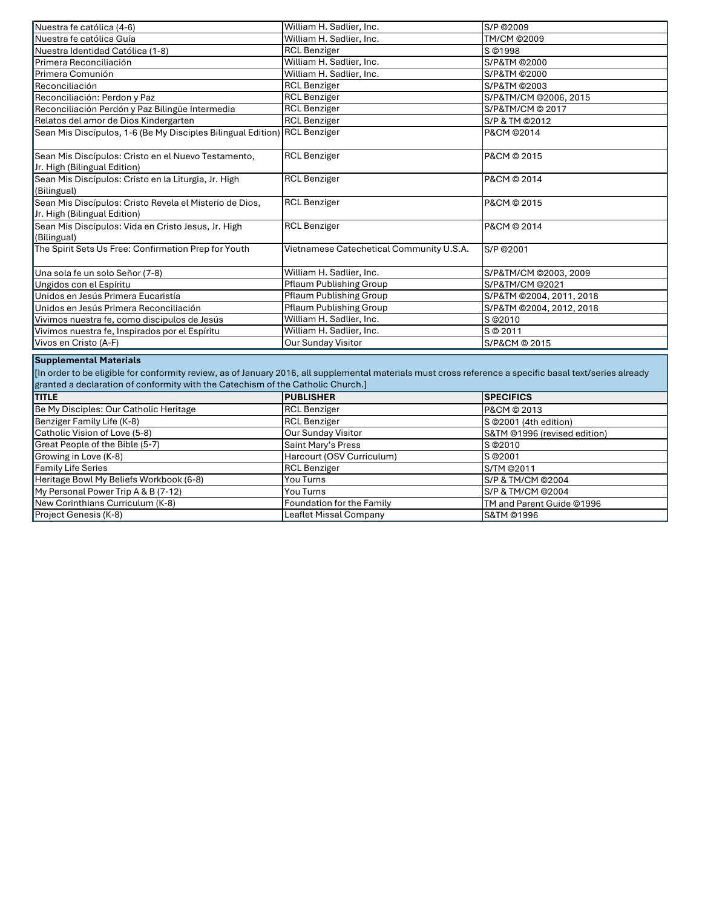| Nuestra fe católica (4-6)                                                                                                                                                                                                                                                    | William H. Sadlier, Inc.                 | S/P ©2009                    |  |
|------------------------------------------------------------------------------------------------------------------------------------------------------------------------------------------------------------------------------------------------------------------------------|------------------------------------------|------------------------------|--|
| Nuestra fe católica Guía                                                                                                                                                                                                                                                     | William H. Sadlier, Inc.                 | TM/CM @2009                  |  |
| Nuestra Identidad Católica (1-8)                                                                                                                                                                                                                                             | <b>RCL Benziger</b>                      | S ©1998                      |  |
| Primera Reconciliación                                                                                                                                                                                                                                                       | William H. Sadlier, Inc.                 | S/P&TM @2000                 |  |
| Primera Comunión                                                                                                                                                                                                                                                             | William H. Sadlier, Inc.                 | S/P&TM @2000                 |  |
| Reconciliación                                                                                                                                                                                                                                                               | <b>RCL Benziger</b>                      | S/P&TM @2003                 |  |
| Reconciliación: Perdon y Paz                                                                                                                                                                                                                                                 | <b>RCL Benziger</b>                      | S/P&TM/CM @2006, 2015        |  |
| Reconciliación Perdón y Paz Bilingüe Intermedia                                                                                                                                                                                                                              | <b>RCL Benziger</b>                      | S/P&TM/CM @ 2017             |  |
| Relatos del amor de Dios Kindergarten                                                                                                                                                                                                                                        | <b>RCL Benziger</b>                      | S/P & TM @2012               |  |
| Sean Mis Discípulos, 1-6 (Be My Disciples Bilingual Edition)                                                                                                                                                                                                                 | <b>RCL Benziger</b>                      | P&CM ©2014                   |  |
| Sean Mis Discípulos: Cristo en el Nuevo Testamento,<br>Jr. High (Bilingual Edition)                                                                                                                                                                                          | <b>RCL Benziger</b>                      | P&CM © 2015                  |  |
| Sean Mis Discípulos: Cristo en la Liturgia, Jr. High<br>(Bilingual)                                                                                                                                                                                                          | <b>RCL Benziger</b>                      | P&CM © 2014                  |  |
| Sean Mis Discípulos: Cristo Revela el Misterio de Dios,<br>Jr. High (Bilingual Edition)                                                                                                                                                                                      | <b>RCL Benziger</b>                      | P&CM © 2015                  |  |
| Sean Mis Discípulos: Vida en Cristo Jesus, Jr. High<br>(Bilingual)                                                                                                                                                                                                           | <b>RCL Benziger</b>                      | P&CM © 2014                  |  |
| The Spirit Sets Us Free: Confirmation Prep for Youth                                                                                                                                                                                                                         | Vietnamese Catechetical Community U.S.A. | S/P ©2001                    |  |
| Una sola fe un solo Señor (7-8)                                                                                                                                                                                                                                              | William H. Sadlier, Inc.                 | S/P&TM/CM @2003, 2009        |  |
| Ungidos con el Espíritu                                                                                                                                                                                                                                                      | Pflaum Publishing Group                  | S/P&TM/CM @2021              |  |
| Unidos en Jesús Primera Eucaristía                                                                                                                                                                                                                                           | Pflaum Publishing Group                  | S/P&TM @2004, 2011, 2018     |  |
| Unidos en Jesús Primera Reconciliación                                                                                                                                                                                                                                       | Pflaum Publishing Group                  | S/P&TM @2004, 2012, 2018     |  |
| Vivimos nuestra fe, como discipulos de Jesús                                                                                                                                                                                                                                 | William H. Sadlier, Inc.                 | S @2010                      |  |
| Vivimos nuestra fe, Inspirados por el Espíritu                                                                                                                                                                                                                               | William H. Sadlier, Inc.                 | S @ 2011                     |  |
| Vivos en Cristo (A-F)                                                                                                                                                                                                                                                        | Our Sunday Visitor                       | S/P&CM @ 2015                |  |
| <b>Supplemental Materials</b><br>[In order to be eligible for conformity review, as of January 2016, all supplemental materials must cross reference a specific basal text/series already<br>granted a declaration of conformity with the Catechism of the Catholic Church.] |                                          |                              |  |
| <b>TITLE</b>                                                                                                                                                                                                                                                                 | <b>PUBLISHER</b>                         | <b>SPECIFICS</b>             |  |
| Be My Disciples: Our Catholic Heritage                                                                                                                                                                                                                                       | <b>RCL Benziger</b>                      | P&CM © 2013                  |  |
| Benziger Family Life (K-8)                                                                                                                                                                                                                                                   | <b>RCL Benziger</b>                      | S @2001 (4th edition)        |  |
| Catholic Vision of Love (5-8)                                                                                                                                                                                                                                                | Our Sunday Visitor                       | S&TM @1996 (revised edition) |  |
| Great People of the Bible (5-7)                                                                                                                                                                                                                                              | Saint Mary's Press                       | S @2010                      |  |
| Growing in Love (K-8)                                                                                                                                                                                                                                                        | Harcourt (OSV Curriculum)                | S © 2001                     |  |
| <b>Family Life Series</b>                                                                                                                                                                                                                                                    | <b>RCL Benziger</b>                      | S/TM @2011                   |  |
| Heritage Bowl My Beliefs Workbook (6-8)                                                                                                                                                                                                                                      | You Turns                                | S/P & TM/CM @2004            |  |
| My Personal Power Trip A & B (7-12)                                                                                                                                                                                                                                          | You Turns                                | S/P & TM/CM @2004            |  |
| New Corinthians Curriculum (K-8)                                                                                                                                                                                                                                             | Foundation for the Family                | TM and Parent Guide ©1996    |  |

Leaflet Missal Company

S&TM ©1996

Project Genesis (K-8)